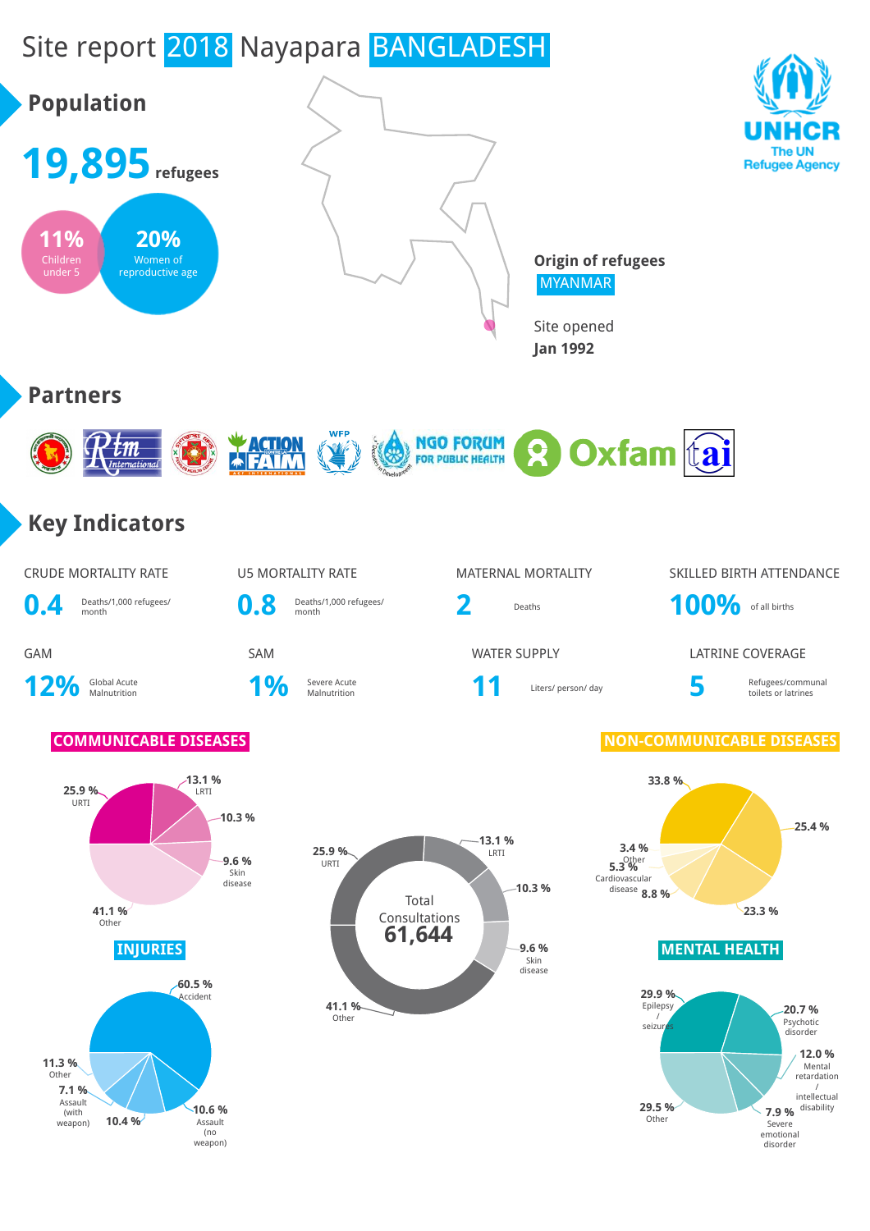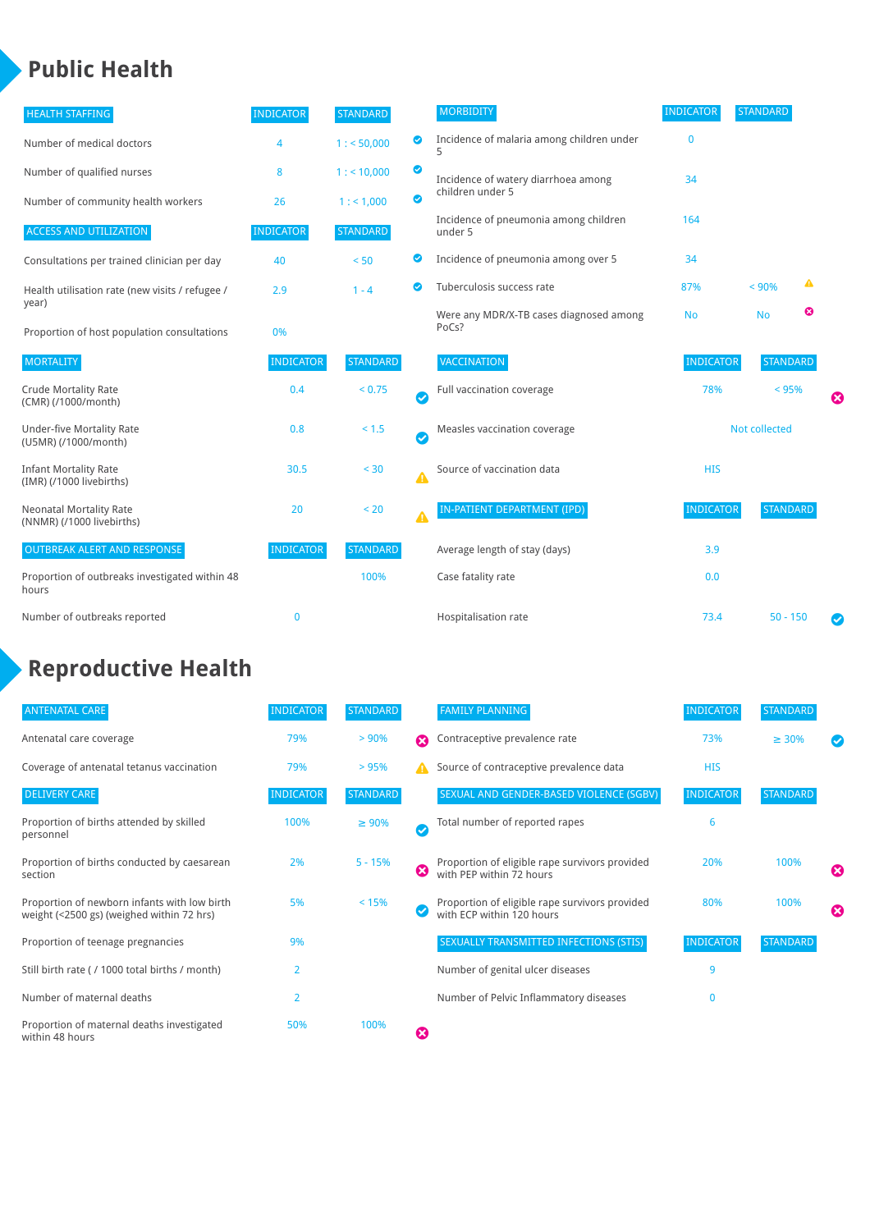### **Public Health**

| <b>HEALTH STAFFING</b>                                      | <b>INDICATOR</b> | <b>STANDARD</b> |           | <b>MORBIDITY</b>                                 | <b>INDICATOR</b> | <b>STANDARD</b> |   |   |
|-------------------------------------------------------------|------------------|-----------------|-----------|--------------------------------------------------|------------------|-----------------|---|---|
| Number of medical doctors                                   | 4                | 1: 50,000       | $\bullet$ | Incidence of malaria among children under        | $\mathbf{0}$     |                 |   |   |
| Number of qualified nurses                                  | 8                | 1:10,000        | $\bullet$ | Incidence of watery diarrhoea among              | 34               |                 |   |   |
| Number of community health workers                          | 26               | 1: 1,000        | $\bullet$ | children under 5                                 |                  |                 |   |   |
| <b>ACCESS AND UTILIZATION</b>                               | <b>INDICATOR</b> | <b>STANDARD</b> |           | Incidence of pneumonia among children<br>under 5 | 164              |                 |   |   |
| Consultations per trained clinician per day                 | 40               | < 50            | Ø         | Incidence of pneumonia among over 5              | 34               |                 |   |   |
| Health utilisation rate (new visits / refugee /             | 2.9              | $1 - 4$         | ◙         | Tuberculosis success rate                        | 87%              | < 90%           | ▲ |   |
| year)<br>Proportion of host population consultations        | 0%               |                 |           | Were any MDR/X-TB cases diagnosed among<br>PoCs? | <b>No</b>        | <b>No</b>       | ೞ |   |
| <b>MORTALITY</b>                                            | <b>INDICATOR</b> | <b>STANDARD</b> |           | <b>VACCINATION</b>                               | <b>INDICATOR</b> | <b>STANDARD</b> |   |   |
| <b>Crude Mortality Rate</b><br>(CMR) (/1000/month)          | 0.4              | < 0.75          | Ø         | Full vaccination coverage                        | 78%              | < 95%           |   | ೞ |
| <b>Under-five Mortality Rate</b><br>(U5MR) (/1000/month)    | 0.8              | < 1.5           | Ø         | Measles vaccination coverage                     |                  | Not collected   |   |   |
| <b>Infant Mortality Rate</b><br>(IMR) (/1000 livebirths)    | 30.5             | < 30            | ▲         | Source of vaccination data                       | <b>HIS</b>       |                 |   |   |
| <b>Neonatal Mortality Rate</b><br>(NNMR) (/1000 livebirths) | 20               | < 20            | Δ         | IN-PATIENT DEPARTMENT (IPD)                      | <b>INDICATOR</b> | <b>STANDARD</b> |   |   |
| <b>OUTBREAK ALERT AND RESPONSE</b>                          | <b>INDICATOR</b> | <b>STANDARD</b> |           | Average length of stay (days)                    | 3.9              |                 |   |   |
| Proportion of outbreaks investigated within 48<br>hours     |                  | 100%            |           | Case fatality rate                               | 0.0              |                 |   |   |
| Number of outbreaks reported                                | $\mathbf 0$      |                 |           | Hospitalisation rate                             | 73.4             | $50 - 150$      |   | Ø |

# **Reproductive Health**

| <b>ANTENATAL CARE</b>                                                                     | <b>INDICATOR</b> | <b>STANDARD</b> |              | <b>FAMILY PLANNING</b>                                                      | <b>INDICATOR</b> | <b>STANDARD</b> |   |
|-------------------------------------------------------------------------------------------|------------------|-----------------|--------------|-----------------------------------------------------------------------------|------------------|-----------------|---|
| Antenatal care coverage                                                                   | 79%              | > 90%           | Ω            | Contraceptive prevalence rate                                               | 73%              | $\geq 30\%$     |   |
| Coverage of antenatal tetanus vaccination                                                 | 79%              | >95%            |              | Source of contraceptive prevalence data                                     | <b>HIS</b>       |                 |   |
| <b>DELIVERY CARE</b>                                                                      | <b>INDICATOR</b> | <b>STANDARD</b> |              | SEXUAL AND GENDER-BASED VIOLENCE (SGBV)                                     | <b>INDICATOR</b> | <b>STANDARD</b> |   |
| Proportion of births attended by skilled<br>personnel                                     | 100%             | $\geq 90\%$     | $\checkmark$ | Total number of reported rapes                                              | 6                |                 |   |
| Proportion of births conducted by caesarean<br>section                                    | 2%               | $5 - 15%$       | Ø            | Proportion of eligible rape survivors provided<br>with PEP within 72 hours  | 20%              | 100%            | ೞ |
| Proportion of newborn infants with low birth<br>weight (<2500 gs) (weighed within 72 hrs) | 5%               | < 15%           |              | Proportion of eligible rape survivors provided<br>with ECP within 120 hours | 80%              | 100%            | ೞ |
| Proportion of teenage pregnancies                                                         | 9%               |                 |              | SEXUALLY TRANSMITTED INFECTIONS (STIS)                                      | <b>INDICATOR</b> | <b>STANDARD</b> |   |
| Still birth rate (/ 1000 total births / month)                                            | $\overline{2}$   |                 |              | Number of genital ulcer diseases                                            | 9                |                 |   |
| Number of maternal deaths                                                                 | $\overline{2}$   |                 |              | Number of Pelvic Inflammatory diseases                                      | 0                |                 |   |
| Proportion of maternal deaths investigated<br>within 48 hours                             | 50%              | 100%            | Ø            |                                                                             |                  |                 |   |